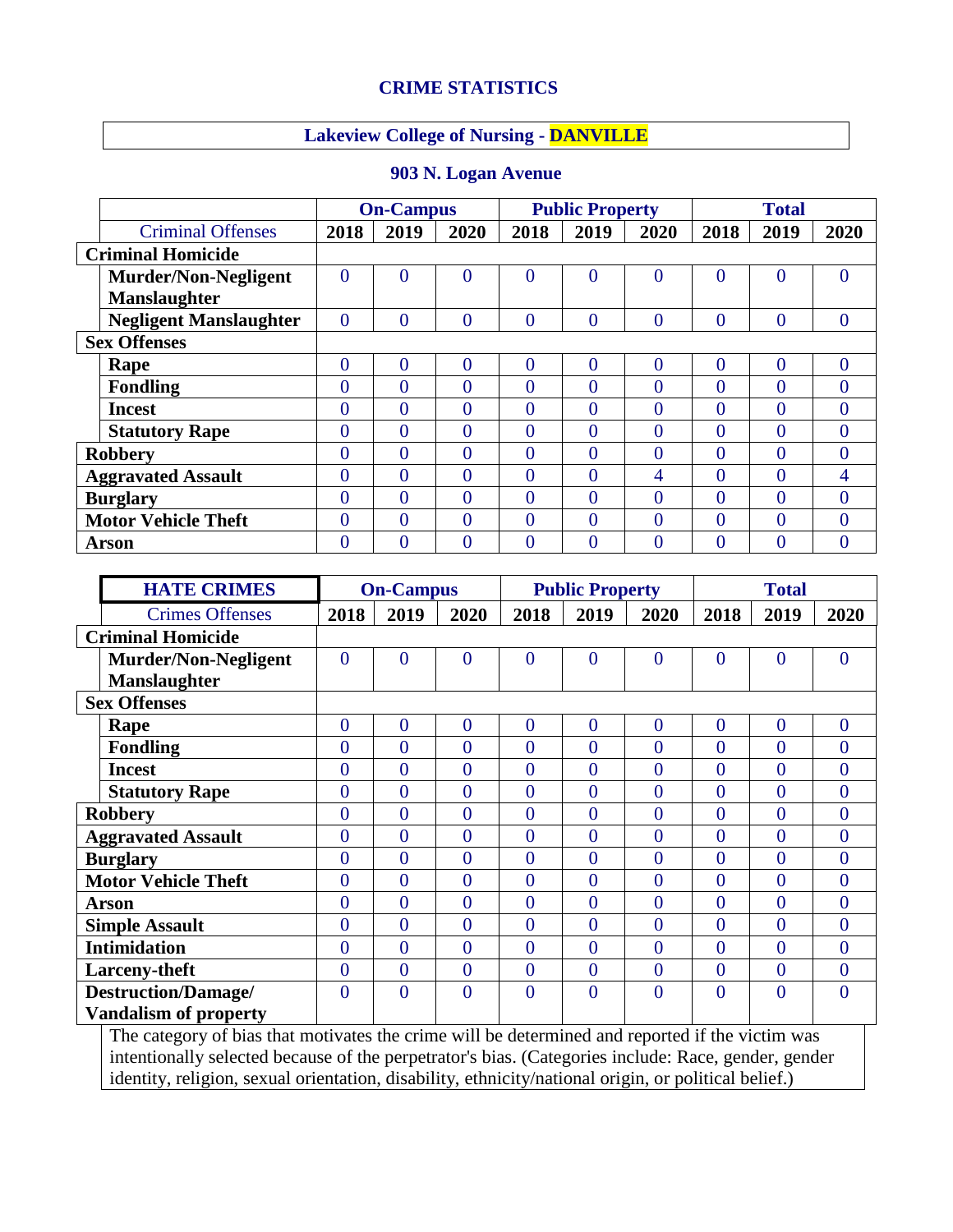## **CRIME STATISTICS**

## **Lakeview College of Nursing - DANVILLE**

|                            |                               | <b>On-Campus</b> |                |                | <b>Public Property</b> |                |          | <b>Total</b>   |          |                |
|----------------------------|-------------------------------|------------------|----------------|----------------|------------------------|----------------|----------|----------------|----------|----------------|
|                            | <b>Criminal Offenses</b>      | 2018             | 2019           | 2020           | 2018                   | 2019           | 2020     | 2018           | 2019     | 2020           |
| <b>Criminal Homicide</b>   |                               |                  |                |                |                        |                |          |                |          |                |
|                            | <b>Murder/Non-Negligent</b>   | 0                | $\theta$       | $\overline{0}$ | $\Omega$               | $\theta$       | $\Omega$ | 0              | $\theta$ | $\overline{0}$ |
|                            | Manslaughter                  |                  |                |                |                        |                |          |                |          |                |
|                            | <b>Negligent Manslaughter</b> | 0                | $\overline{0}$ | $\overline{0}$ | $\theta$               | $\overline{0}$ | $\Omega$ | 0              | $\theta$ | $\overline{0}$ |
| <b>Sex Offenses</b>        |                               |                  |                |                |                        |                |          |                |          |                |
|                            | Rape                          | $\overline{0}$   | $\theta$       | $\theta$       | $\Omega$               | $\theta$       | $\theta$ | $\overline{0}$ | $\theta$ | $\overline{0}$ |
|                            | <b>Fondling</b>               | 0                | $\theta$       | $\theta$       | $\Omega$               | $\theta$       | $\Omega$ | 0              | $\Omega$ | $\theta$       |
|                            | <b>Incest</b>                 | 0                | 0              | $\theta$       | 0                      | $\theta$       | $\Omega$ | 0              | $\Omega$ | $\theta$       |
|                            | <b>Statutory Rape</b>         | 0                | 0              | $\theta$       | $\Omega$               | $\theta$       | $\Omega$ | 0              | $\theta$ | $\overline{0}$ |
| <b>Robbery</b>             |                               | 0                | $\Omega$       | $\theta$       | $\Omega$               | 0              | $\Omega$ | 0              | $\Omega$ | $\overline{0}$ |
| <b>Aggravated Assault</b>  |                               | 0                | 0              | 0              | $\Omega$               | 0              | 4        | 0              | $\Omega$ | 4              |
| <b>Burglary</b>            |                               | 0                | 0              | $\theta$       | $\Omega$               | $\theta$       | $\Omega$ | 0              | $\Omega$ | $\overline{0}$ |
| <b>Motor Vehicle Theft</b> |                               | 0                | $\theta$       | $\theta$       | $\Omega$               | $\theta$       | $\Omega$ | 0              | $\theta$ | $\overline{0}$ |
|                            | <b>Arson</b>                  | 0                | $\Omega$       | 0              | $\Omega$               | 0              | $\Omega$ | 0              | $\Omega$ | $\theta$       |

|  | 903 N. Logan Avenue |
|--|---------------------|
|  |                     |

|                          | <b>HATE CRIMES</b>           | <b>On-Campus</b> |                |                | <b>Public Property</b> |                |                | <b>Total</b>   |                |                |
|--------------------------|------------------------------|------------------|----------------|----------------|------------------------|----------------|----------------|----------------|----------------|----------------|
|                          | <b>Crimes Offenses</b>       | 2018             | 2019           | 2020           | 2018                   | 2019           | 2020           | 2018           | 2019           | 2020           |
| <b>Criminal Homicide</b> |                              |                  |                |                |                        |                |                |                |                |                |
|                          | <b>Murder/Non-Negligent</b>  | $\overline{0}$   | $\overline{0}$ | $\overline{0}$ | $\overline{0}$         | $\overline{0}$ | $\overline{0}$ | $\overline{0}$ | $\overline{0}$ | $\mathbf{0}$   |
|                          | <b>Manslaughter</b>          |                  |                |                |                        |                |                |                |                |                |
|                          | <b>Sex Offenses</b>          |                  |                |                |                        |                |                |                |                |                |
|                          | Rape                         | $\overline{0}$   | $\overline{0}$ | $\overline{0}$ | $\overline{0}$         | $\overline{0}$ | $\overline{0}$ | $\overline{0}$ | $\theta$       | $\overline{0}$ |
|                          | <b>Fondling</b>              | $\overline{0}$   | $\theta$       | $\theta$       | $\overline{0}$         | $\overline{0}$ | $\overline{0}$ | $\overline{0}$ | $\theta$       | $\overline{0}$ |
|                          | <b>Incest</b>                | $\theta$         | $\theta$       | $\overline{0}$ | $\theta$               | $\overline{0}$ | $\theta$       | $\overline{0}$ | $\theta$       | $\overline{0}$ |
|                          | <b>Statutory Rape</b>        | $\overline{0}$   | $\overline{0}$ | $\overline{0}$ | $\overline{0}$         | $\overline{0}$ | $\theta$       | $\overline{0}$ | $\theta$       | $\overline{0}$ |
| <b>Robbery</b>           |                              | $\overline{0}$   | $\overline{0}$ | $\overline{0}$ | $\overline{0}$         | $\overline{0}$ | $\overline{0}$ | $\overline{0}$ | $\theta$       | $\overline{0}$ |
|                          | <b>Aggravated Assault</b>    | $\overline{0}$   | $\theta$       | $\overline{0}$ | $\overline{0}$         | $\overline{0}$ | $\theta$       | $\overline{0}$ | $\theta$       | $\overline{0}$ |
|                          | <b>Burglary</b>              | $\theta$         | $\theta$       | $\overline{0}$ | $\overline{0}$         | $\overline{0}$ | $\theta$       | $\overline{0}$ | $\theta$       | $\overline{0}$ |
|                          | <b>Motor Vehicle Theft</b>   | $\theta$         | $\theta$       | $\theta$       | $\overline{0}$         | $\theta$       | $\theta$       | $\overline{0}$ | $\theta$       | $\overline{0}$ |
|                          | <b>Arson</b>                 | $\theta$         | $\theta$       | $\theta$       | $\theta$               | $\overline{0}$ | $\theta$       | $\overline{0}$ | $\theta$       | $\overline{0}$ |
|                          | <b>Simple Assault</b>        | $\overline{0}$   | $\overline{0}$ | $\overline{0}$ | $\overline{0}$         | $\overline{0}$ | $\theta$       | $\overline{0}$ | $\overline{0}$ | $\overline{0}$ |
|                          | <b>Intimidation</b>          | $\overline{0}$   | $\overline{0}$ | $\overline{0}$ | $\overline{0}$         | $\overline{0}$ | $\theta$       | $\overline{0}$ | $\theta$       | $\overline{0}$ |
|                          | <b>Larceny-theft</b>         | $\overline{0}$   | $\overline{0}$ | $\overline{0}$ | $\overline{0}$         | $\overline{0}$ | $\theta$       | $\overline{0}$ | $\theta$       | $\mathbf{0}$   |
|                          | <b>Destruction/Damage/</b>   | 0                | $\overline{0}$ | $\overline{0}$ | $\overline{0}$         | $\overline{0}$ | $\overline{0}$ | $\overline{0}$ | $\overline{0}$ | $\overline{0}$ |
|                          | <b>Vandalism of property</b> |                  |                |                |                        |                |                |                |                |                |

The category of bias that motivates the crime will be determined and reported if the victim was intentionally selected because of the perpetrator's bias. (Categories include: Race, gender, gender identity, religion, sexual orientation, disability, ethnicity/national origin, or political belief.)